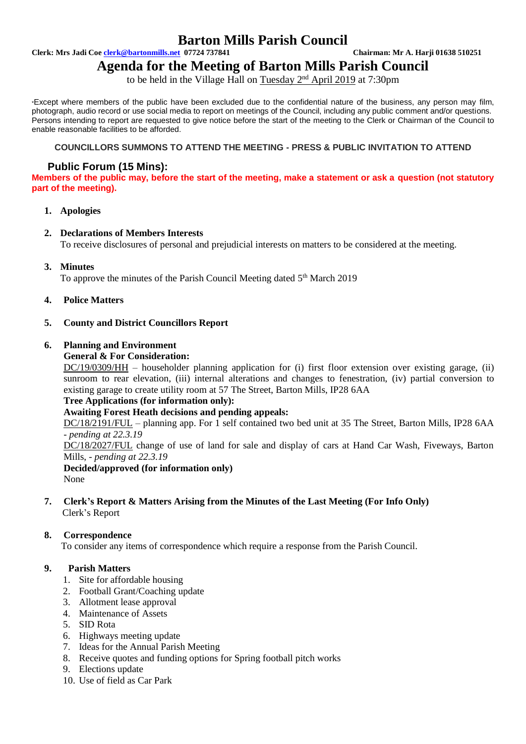### **Barton Mills Parish Council**

**Clerk: Mrs Jadi Coe [clerk@bartonmills.net](mailto:clerk@bartonmills.net) 07724 737841 Chairman: Mr A. Harji 01638 510251**

# **Agenda for the Meeting of Barton Mills Parish Council**

to be held in the Village Hall on Tuesday 2<sup>nd</sup> April 2019 at 7:30pm

\*Except where members of the public have been excluded due to the confidential nature of the business, any person may film, photograph, audio record or use social media to report on meetings of the Council, including any public comment and/or questions. Persons intending to report are requested to give notice before the start of the meeting to the Clerk or Chairman of the Council to enable reasonable facilities to be afforded.

#### **COUNCILLORS SUMMONS TO ATTEND THE MEETING - PRESS & PUBLIC INVITATION TO ATTEND**

#### **Public Forum (15 Mins):**

**Members of the public may, before the start of the meeting, make a statement or ask a question (not statutory part of the meeting).**

#### **1. Apologies**

#### **2. Declarations of Members Interests**

To receive disclosures of personal and prejudicial interests on matters to be considered at the meeting.

**3. Minutes**

To approve the minutes of the Parish Council Meeting dated 5<sup>th</sup> March 2019

**4. Police Matters**

#### **5. County and District Councillors Report**

#### **6. Planning and Environment**

#### **General & For Consideration:**

DC/19/0309/HH – householder planning application for (i) first floor extension over existing garage, (ii) sunroom to rear elevation, (iii) internal alterations and changes to fenestration, (iv) partial conversion to existing garage to create utility room at 57 The Street, Barton Mills, IP28 6AA

**Tree Applications (for information only):**

#### **Awaiting Forest Heath decisions and pending appeals:**

DC/18/2191/FUL – planning app. For 1 self contained two bed unit at 35 The Street, Barton Mills, IP28 6AA *- pending at 22.3.19*

DC/18/2027/FUL change of use of land for sale and display of cars at Hand Car Wash, Fiveways, Barton Mills, - *pending at 22.3.19*

**Decided/approved (for information only)** None

#### **7. Clerk's Report & Matters Arising from the Minutes of the Last Meeting (For Info Only)** Clerk's Report

#### **8. Correspondence**

To consider any items of correspondence which require a response from the Parish Council.

#### **9. Parish Matters**

- 1. Site for affordable housing
- 2. Football Grant/Coaching update
- 3. Allotment lease approval
- 4. Maintenance of Assets
- 5. SID Rota
- 6. Highways meeting update
- 7. Ideas for the Annual Parish Meeting
- 8. Receive quotes and funding options for Spring football pitch works
- 9. Elections update
- 10. Use of field as Car Park